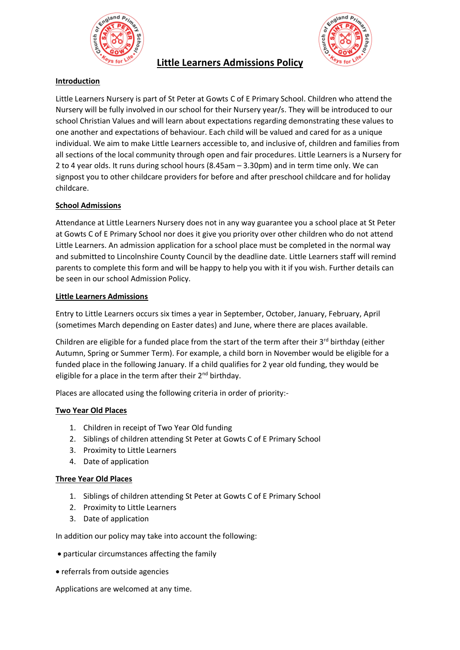



# **Introduction**

Little Learners Nursery is part of St Peter at Gowts C of E Primary School. Children who attend the Nursery will be fully involved in our school for their Nursery year/s. They will be introduced to our school Christian Values and will learn about expectations regarding demonstrating these values to one another and expectations of behaviour. Each child will be valued and cared for as a unique individual. We aim to make Little Learners accessible to, and inclusive of, children and families from all sections of the local community through open and fair procedures. Little Learners is a Nursery for 2 to 4 year olds. It runs during school hours (8.45am – 3.30pm) and in term time only. We can signpost you to other childcare providers for before and after preschool childcare and for holiday childcare.

**Little Learners Admissions Policy**

## **School Admissions**

Attendance at Little Learners Nursery does not in any way guarantee you a school place at St Peter at Gowts C of E Primary School nor does it give you priority over other children who do not attend Little Learners. An admission application for a school place must be completed in the normal way and submitted to Lincolnshire County Council by the deadline date. Little Learners staff will remind parents to complete this form and will be happy to help you with it if you wish. Further details can be seen in our school Admission Policy.

### **Little Learners Admissions**

Entry to Little Learners occurs six times a year in September, October, January, February, April (sometimes March depending on Easter dates) and June, where there are places available.

Children are eligible for a funded place from the start of the term after their  $3<sup>rd</sup>$  birthday (either Autumn, Spring or Summer Term). For example, a child born in November would be eligible for a funded place in the following January. If a child qualifies for 2 year old funding, they would be eligible for a place in the term after their 2<sup>nd</sup> birthday.

Places are allocated using the following criteria in order of priority:-

## **Two Year Old Places**

- 1. Children in receipt of Two Year Old funding
- 2. Siblings of children attending St Peter at Gowts C of E Primary School
- 3. Proximity to Little Learners
- 4. Date of application

#### **Three Year Old Places**

- 1. Siblings of children attending St Peter at Gowts C of E Primary School
- 2. Proximity to Little Learners
- 3. Date of application

In addition our policy may take into account the following:

- particular circumstances affecting the family
- referrals from outside agencies

Applications are welcomed at any time.